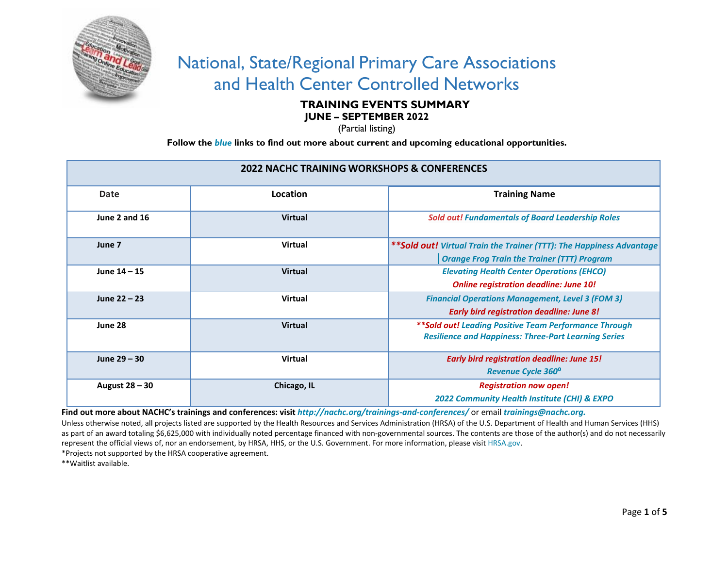

## National, State/Regional Primary Care Associations and Health Center Controlled Networks

## **TRAINING EVENTS SUMMARY**

**JUNE – SEPTEMBER 2022**

(Partial listing)

**Follow the** *blue* **links to find out more about current and upcoming educational opportunities.**

| <b>2022 NACHC TRAINING WORKSHOPS &amp; CONFERENCES</b> |                |                                                                       |  |
|--------------------------------------------------------|----------------|-----------------------------------------------------------------------|--|
| Date                                                   | Location       | <b>Training Name</b>                                                  |  |
| June 2 and 16                                          | <b>Virtual</b> | <b>Sold out! Fundamentals of Board Leadership Roles</b>               |  |
| June 7                                                 | <b>Virtual</b> | ** Sold out! Virtual Train the Trainer (TTT): The Happiness Advantage |  |
|                                                        |                | <b>Orange Frog Train the Trainer (TTT) Program</b>                    |  |
| June $14 - 15$                                         | <b>Virtual</b> | <b>Elevating Health Center Operations (EHCO)</b>                      |  |
|                                                        |                | <b>Online registration deadline: June 10!</b>                         |  |
| June $22 - 23$                                         | <b>Virtual</b> | <b>Financial Operations Management, Level 3 (FOM 3)</b>               |  |
|                                                        |                | <b>Early bird registration deadline: June 8!</b>                      |  |
| June 28                                                | <b>Virtual</b> | ** Sold out! Leading Positive Team Performance Through                |  |
|                                                        |                | <b>Resilience and Happiness: Three-Part Learning Series</b>           |  |
| June 29 - 30                                           | <b>Virtual</b> | <b>Early bird registration deadline: June 15!</b>                     |  |
|                                                        |                | <b>Revenue Cycle 360°</b>                                             |  |
| August 28 – 30                                         | Chicago, IL    | <b>Registration now open!</b>                                         |  |
|                                                        |                | 2022 Community Health Institute (CHI) & EXPO                          |  |

**Find out more about NACHC's trainings and conferences: visit** *<http://nachc.org/trainings-and-conferences/>*or email *[trainings@nachc.org.](mailto:trainings@nachc.org)*

Unless otherwise noted, all projects listed are supported by the Health Resources and Services Administration (HRSA) of the U.S. Department of Health and Human Services (HHS) as part of an award totaling \$6,625,000 with individually noted percentage financed with non-governmental sources. The contents are those of the author(s) and do not necessarily represent the official views of, nor an endorsement, by HRSA, HHS, or the U.S. Government. For more information, please visit [HRSA.gov.](http://www.hrsa.gov/)

\*Projects not supported by the HRSA cooperative agreement.

\*\*Waitlist available.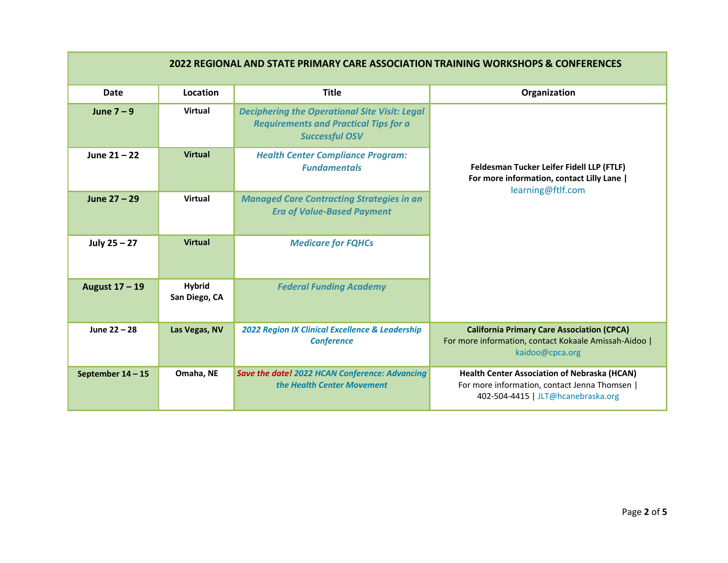| 2022 REGIONAL AND STATE PRIMARY CARE ASSOCIATION TRAINING WORKSHOPS & CONFERENCES |                                |                                                                                                                               |                                                                                                                                            |
|-----------------------------------------------------------------------------------|--------------------------------|-------------------------------------------------------------------------------------------------------------------------------|--------------------------------------------------------------------------------------------------------------------------------------------|
| <b>Date</b>                                                                       | Location                       | <b>Title</b>                                                                                                                  | Organization                                                                                                                               |
| June $7 - 9$                                                                      | <b>Virtual</b>                 | <b>Deciphering the Operational Site Visit: Legal</b><br><b>Requirements and Practical Tips for a</b><br><b>Successful OSV</b> |                                                                                                                                            |
| June $21 - 22$                                                                    | <b>Virtual</b>                 | <b>Health Center Compliance Program:</b><br><b>Fundamentals</b>                                                               | Feldesman Tucker Leifer Fidell LLP (FTLF)<br>For more information, contact Lilly Lane  <br>learning@ftlf.com                               |
| June 27 - 29                                                                      | <b>Virtual</b>                 | <b>Managed Care Contracting Strategies in an</b><br><b>Era of Value-Based Payment</b>                                         |                                                                                                                                            |
| July $25 - 27$                                                                    | <b>Virtual</b>                 | <b>Medicare for FQHCs</b>                                                                                                     |                                                                                                                                            |
| August 17 - 19                                                                    | <b>Hybrid</b><br>San Diego, CA | <b>Federal Funding Academy</b>                                                                                                |                                                                                                                                            |
| June 22 - 28                                                                      | Las Vegas, NV                  | 2022 Region IX Clinical Excellence & Leadership<br><b>Conference</b>                                                          | <b>California Primary Care Association (CPCA)</b><br>For more information, contact Kokaale Amissah-Aidoo  <br>kaidoo@cpca.org              |
| September 14 - 15                                                                 | Omaha, NE                      | Save the date! 2022 HCAN Conference: Advancing<br>the Health Center Movement                                                  | <b>Health Center Association of Nebraska (HCAN)</b><br>For more information, contact Jenna Thomsen  <br>402-504-4415   JLT@hcanebraska.org |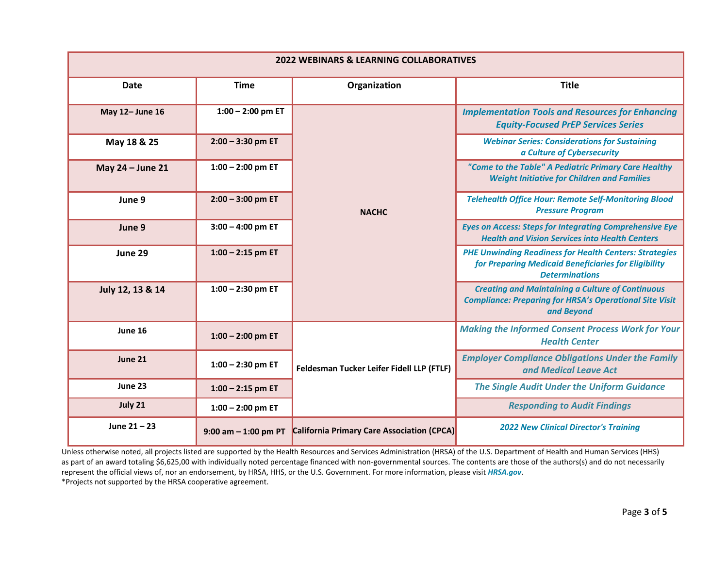| <b>2022 WEBINARS &amp; LEARNING COLLABORATIVES</b> |                         |                                            |                                                                                                                                                |
|----------------------------------------------------|-------------------------|--------------------------------------------|------------------------------------------------------------------------------------------------------------------------------------------------|
| <b>Date</b>                                        | <b>Time</b>             | Organization                               | <b>Title</b>                                                                                                                                   |
| May 12- June 16                                    | $1:00 - 2:00$ pm ET     |                                            | <b>Implementation Tools and Resources for Enhancing</b><br><b>Equity-Focused PrEP Services Series</b>                                          |
| May 18 & 25                                        | $2:00 - 3:30$ pm ET     |                                            | <b>Webinar Series: Considerations for Sustaining</b><br>a Culture of Cybersecurity                                                             |
| May 24 - June 21                                   | $1:00 - 2:00$ pm ET     |                                            | "Come to the Table" A Pediatric Primary Care Healthy<br><b>Weight Initiative for Children and Families</b>                                     |
| June 9                                             | $2:00 - 3:00$ pm ET     | <b>NACHC</b>                               | <b>Telehealth Office Hour: Remote Self-Monitoring Blood</b><br><b>Pressure Program</b>                                                         |
| June 9                                             | $3:00 - 4:00$ pm ET     |                                            | <b>Eyes on Access: Steps for Integrating Comprehensive Eye</b><br><b>Health and Vision Services into Health Centers</b>                        |
| June 29                                            | $1:00 - 2:15$ pm ET     |                                            | <b>PHE Unwinding Readiness for Health Centers: Strategies</b><br>for Preparing Medicaid Beneficiaries for Eligibility<br><b>Determinations</b> |
| July 12, 13 & 14                                   | $1:00 - 2:30$ pm ET     |                                            | <b>Creating and Maintaining a Culture of Continuous</b><br><b>Compliance: Preparing for HRSA's Operational Site Visit</b><br>and Beyond        |
| June 16                                            | $1:00 - 2:00$ pm ET     |                                            | <b>Making the Informed Consent Process Work for Your</b><br><b>Health Center</b>                                                               |
| June 21                                            | $1:00 - 2:30$ pm ET     | Feldesman Tucker Leifer Fidell LLP (FTLF)  | <b>Employer Compliance Obligations Under the Family</b><br>and Medical Leave Act                                                               |
| June 23                                            | $1:00 - 2:15$ pm ET     |                                            | <b>The Single Audit Under the Uniform Guidance</b>                                                                                             |
| July 21                                            | $1:00 - 2:00$ pm ET     |                                            | <b>Responding to Audit Findings</b>                                                                                                            |
| June $21 - 23$                                     | $9:00$ am $-1:00$ pm PT | California Primary Care Association (CPCA) | <b>2022 New Clinical Director's Training</b>                                                                                                   |

Unless otherwise noted, all projects listed are supported by the Health Resources and Services Administration (HRSA) of the U.S. Department of Health and Human Services (HHS) as part of an award totaling \$6,625,00 with individually noted percentage financed with non-governmental sources. The contents are those of the authors(s) and do not necessarily represent the official views of, nor an endorsement, by HRSA, HHS, or the U.S. Government. For more information, please visit *[HRSA.gov](http://www.hrsa.gov/)*.

\*Projects not supported by the HRSA cooperative agreement.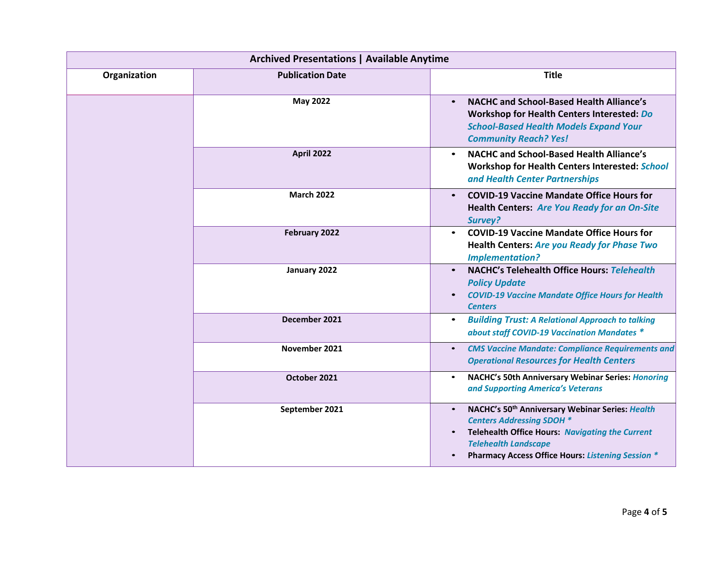| <b>Archived Presentations   Available Anytime</b> |                         |                                                                                                                                                                                                                                                     |
|---------------------------------------------------|-------------------------|-----------------------------------------------------------------------------------------------------------------------------------------------------------------------------------------------------------------------------------------------------|
| Organization                                      | <b>Publication Date</b> | <b>Title</b>                                                                                                                                                                                                                                        |
|                                                   | <b>May 2022</b>         | <b>NACHC and School-Based Health Alliance's</b><br>$\bullet$<br>Workshop for Health Centers Interested: Do<br><b>School-Based Health Models Expand Your</b><br><b>Community Reach? Yes!</b>                                                         |
|                                                   | <b>April 2022</b>       | <b>NACHC and School-Based Health Alliance's</b><br>$\bullet$<br>Workshop for Health Centers Interested: School<br>and Health Center Partnerships                                                                                                    |
|                                                   | <b>March 2022</b>       | <b>COVID-19 Vaccine Mandate Office Hours for</b><br>$\bullet$<br><b>Health Centers: Are You Ready for an On-Site</b><br>Survey?                                                                                                                     |
|                                                   | February 2022           | <b>COVID-19 Vaccine Mandate Office Hours for</b><br><b>Health Centers: Are you Ready for Phase Two</b><br><b>Implementation?</b>                                                                                                                    |
|                                                   | January 2022            | <b>NACHC's Telehealth Office Hours: Telehealth</b><br>$\bullet$<br><b>Policy Update</b><br><b>COVID-19 Vaccine Mandate Office Hours for Health</b><br><b>Centers</b>                                                                                |
|                                                   | December 2021           | <b>Building Trust: A Relational Approach to talking</b><br>$\bullet$<br>about staff COVID-19 Vaccination Mandates *                                                                                                                                 |
|                                                   | November 2021           | <b>CMS Vaccine Mandate: Compliance Requirements and</b><br>$\bullet$<br><b>Operational Resources for Health Centers</b>                                                                                                                             |
|                                                   | October 2021            | NACHC's 50th Anniversary Webinar Series: Honoring<br>$\bullet$<br>and Supporting America's Veterans                                                                                                                                                 |
|                                                   | September 2021          | NACHC's 50 <sup>th</sup> Anniversary Webinar Series: Health<br>$\bullet$<br><b>Centers Addressing SDOH *</b><br>Telehealth Office Hours: Navigating the Current<br><b>Telehealth Landscape</b><br>Pharmacy Access Office Hours: Listening Session * |